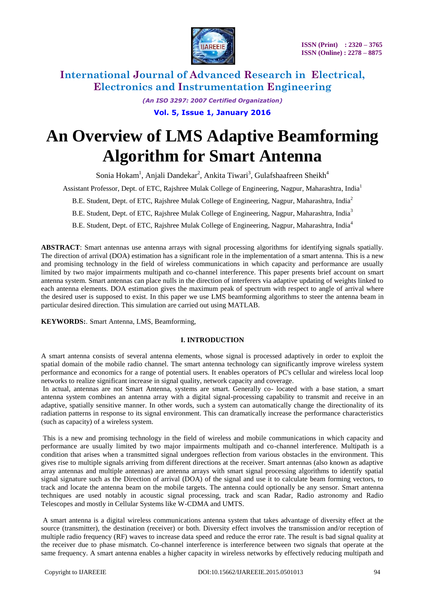

> *(An ISO 3297: 2007 Certified Organization)* **Vol. 5, Issue 1, January 2016**

# **An Overview of LMS Adaptive Beamforming Algorithm for Smart Antenna**

Sonia Hokam<sup>1</sup>, Anjali Dandekar<sup>2</sup>, Ankita Tiwari<sup>3</sup>, Gulafshaafreen Sheikh<sup>4</sup>

Assistant Professor, Dept. of ETC, Rajshree Mulak College of Engineering, Nagpur, Maharashtra, India<sup>1</sup>

B.E. Student, Dept. of ETC, Rajshree Mulak College of Engineering, Nagpur, Maharashtra, India<sup>2</sup>

B.E. Student, Dept. of ETC, Rajshree Mulak College of Engineering, Nagpur, Maharashtra, India<sup>3</sup>

B.E. Student, Dept. of ETC, Rajshree Mulak College of Engineering, Nagpur, Maharashtra, India<sup>4</sup>

**ABSTRACT**: Smart antennas use antenna arrays with signal processing algorithms for identifying signals spatially. The direction of arrival (DOA) estimation has a significant role in the implementation of a smart antenna. This is a new and promising technology in the field of wireless communications in which capacity and performance are usually limited by two major impairments multipath and co-channel interference. This paper presents brief account on smart antenna system. Smart antennas can place nulls in the direction of interferers via adaptive updating of weights linked to each antenna elements. DOA estimation gives the maximum peak of spectrum with respect to angle of arrival where the desired user is supposed to exist. In this paper we use LMS beamforming algorithms to steer the antenna beam in particular desired direction. This simulation are carried out using MATLAB.

**KEYWORDS:**. Smart Antenna, LMS, Beamforming,

#### **I. INTRODUCTION**

A smart antenna consists of several antenna elements, whose signal is processed adaptively in order to exploit the spatial domain of the mobile radio channel. The smart antenna technology can significantly improve wireless system performance and economics for a range of potential users. It enables operators of PC's cellular and wireless local loop networks to realize significant increase in signal quality, network capacity and coverage.

In actual, antennas are not Smart Antenna, systems are smart. Generally co- located with a base station, a smart antenna system combines an antenna array with a digital signal-processing capability to transmit and receive in an adaptive, spatially sensitive manner. In other words, such a system can automatically change the directionality of its radiation patterns in response to its signal environment. This can dramatically increase the performance characteristics (such as capacity) of a wireless system.

This is a new and promising technology in the field of wireless and mobile communications in which capacity and performance are usually limited by two major impairments multipath and co-channel interference. Multipath is a condition that arises when a transmitted signal undergoes reflection from various obstacles in the environment. This gives rise to multiple signals arriving from different directions at the receiver. Smart antennas (also known as adaptive array antennas and multiple antennas) are antenna arrays with smart signal processing algorithms to identify spatial signal signature such as the Direction of arrival (DOA) of the signal and use it to calculate beam forming vectors, to track and locate the antenna beam on the mobile targets. The antenna could optionally be any sensor. Smart antenna techniques are used notably in acoustic signal processing, track and scan Radar, Radio astronomy and Radio Telescopes and mostly in Cellular Systems like W-CDMA and UMTS.

A smart antenna is a digital wireless communications antenna system that takes advantage of diversity effect at the source (transmitter), the destination (receiver) or both. Diversity effect involves the transmission and/or reception of multiple radio frequency (RF) waves to increase data speed and reduce the error rate. The result is bad signal quality at the receiver due to phase mismatch. Co-channel interference is interference between two signals that operate at the same frequency. A smart antenna enables a higher capacity in wireless networks by effectively reducing multipath and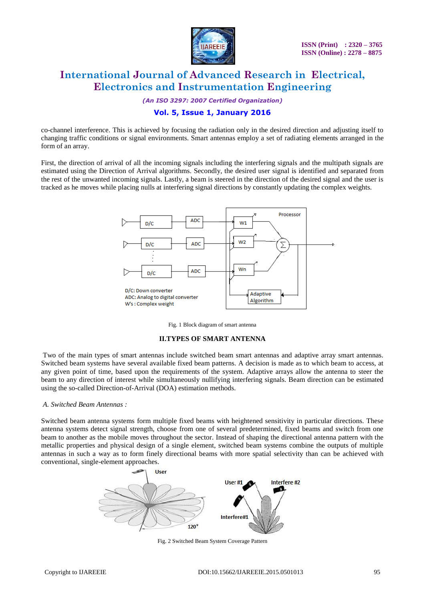

*(An ISO 3297: 2007 Certified Organization)*

## **Vol. 5, Issue 1, January 2016**

co-channel interference. This is achieved by focusing the radiation only in the desired direction and adjusting itself to changing traffic conditions or signal environments. Smart antennas employ a set of radiating elements arranged in the form of an array.

First, the direction of arrival of all the incoming signals including the interfering signals and the multipath signals are estimated using the Direction of Arrival algorithms. Secondly, the desired user signal is identified and separated from the rest of the unwanted incoming signals. Lastly, a beam is steered in the direction of the desired signal and the user is tracked as he moves while placing nulls at interfering signal directions by constantly updating the complex weights.



Fig. 1 Block diagram of smart antenna

#### **II.TYPES OF SMART ANTENNA**

Two of the main types of smart antennas include switched beam smart antennas and adaptive array smart antennas. Switched beam systems have several available fixed beam patterns. A decision is made as to which beam to access, at any given point of time, based upon the requirements of the system. Adaptive arrays allow the antenna to steer the beam to any direction of interest while simultaneously nullifying interfering signals. Beam direction can be estimated using the so-called Direction-of-Arrival (DOA) estimation methods.

#### *A. Switched Beam Antennas :*

Switched beam antenna systems form multiple fixed beams with heightened sensitivity in particular directions. These antenna systems detect signal strength, choose from one of several predetermined, fixed beams and switch from one beam to another as the mobile moves throughout the sector. Instead of shaping the directional antenna pattern with the metallic properties and physical design of a single element, switched beam systems combine the outputs of multiple antennas in such a way as to form finely directional beams with more spatial selectivity than can be achieved with conventional, single-element approaches.



Fig. 2 Switched Beam System Coverage Pattern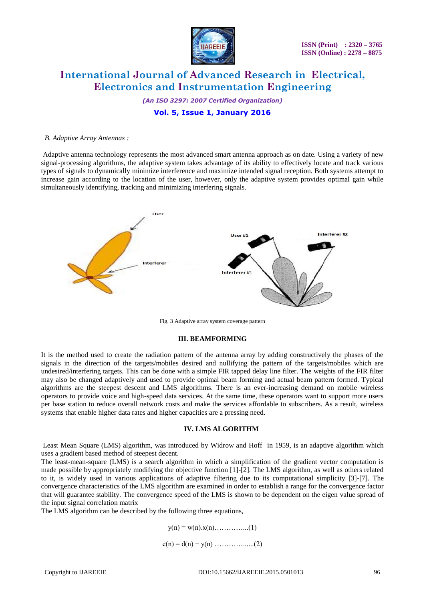

*(An ISO 3297: 2007 Certified Organization)*

**Vol. 5, Issue 1, January 2016**

#### *B. Adaptive Array Antennas :*

Adaptive antenna technology represents the most advanced smart antenna approach as on date. Using a variety of new signal-processing algorithms, the adaptive system takes advantage of its ability to effectively locate and track various types of signals to dynamically minimize interference and maximize intended signal reception. Both systems attempt to increase gain according to the location of the user, however, only the adaptive system provides optimal gain while simultaneously identifying, tracking and minimizing interfering signals.



Fig. 3 Adaptive array system coverage pattern

#### **III. BEAMFORMING**

It is the method used to create the radiation pattern of the antenna array by adding constructively the phases of the signals in the direction of the targets/mobiles desired and nullifying the pattern of the targets/mobiles which are undesired/interfering targets. This can be done with a simple FIR tapped delay line filter. The weights of the FIR filter may also be changed adaptively and used to provide optimal beam forming and actual beam pattern formed. Typical algorithms are the steepest descent and LMS algorithms. There is an ever-increasing demand on mobile wireless operators to provide voice and high-speed data services. At the same time, these operators want to support more users per base station to reduce overall network costs and make the services affordable to subscribers. As a result, wireless systems that enable higher data rates and higher capacities are a pressing need.

#### **IV. LMS ALGORITHM**

Least Mean Square (LMS) algorithm, was introduced by Widrow and Hoff in 1959, is an adaptive algorithm which uses a gradient based method of steepest decent.

The least-mean-square (LMS) is a search algorithm in which a simplification of the gradient vector computation is made possible by appropriately modifying the objective function [1]-[2]. The LMS algorithm, as well as others related to it, is widely used in various applications of adaptive filtering due to its computational simplicity [3]-[7]. The convergence characteristics of the LMS algorithm are examined in order to establish a range for the convergence factor that will guarantee stability. The convergence speed of the LMS is shown to be dependent on the eigen value spread of the input signal correlation matrix

The LMS algorithm can be described by the following three equations,

$$
y(n) = w(n).x(n)...
$$
...(1)  
e(n) = d(n) - y(n) .........(2)